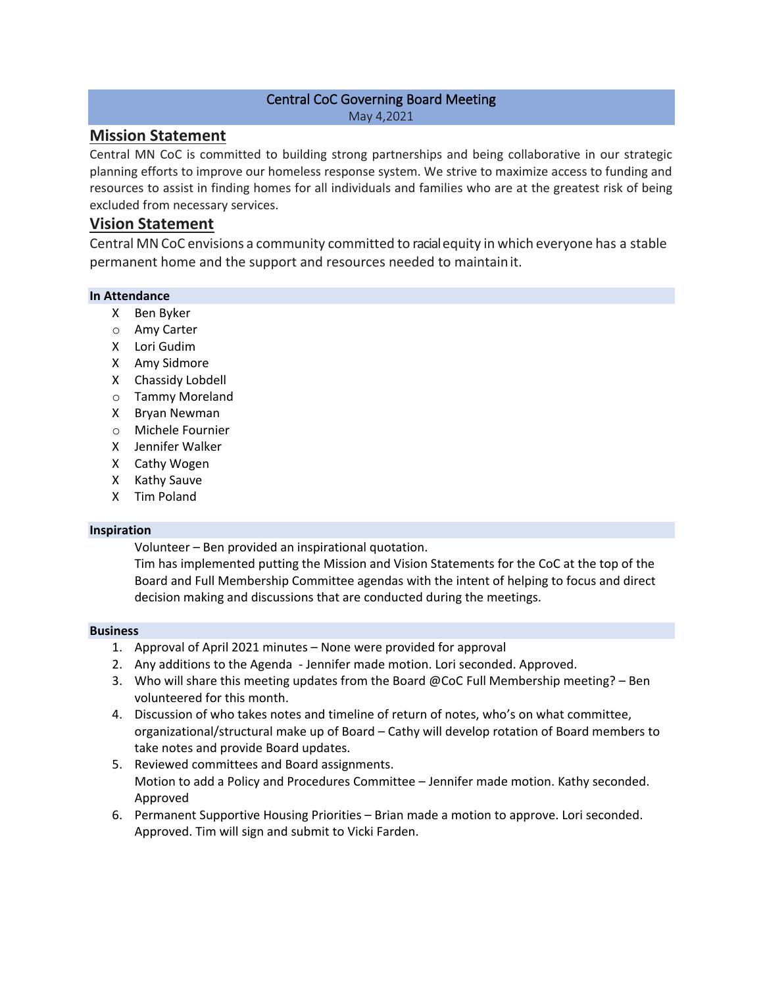### Central CoC Governing Board Meeting May 4,2021

## **Mission Statement**

Central MN CoC is committed to building strong partnerships and being collaborative in our strategic planning efforts to improve our homeless response system. We strive to maximize access to funding and resources to assist in finding homes for all individuals and families who are at the greatest risk of being excluded from necessary services.

# **Vision Statement**

Central MNCoC envisions a community committed to racialequity in which everyone has a stable permanent home and the support and resources needed to maintainit.

### **In Attendance**

- X Ben Byker
- o Amy Carter
- X Lori Gudim
- X Amy Sidmore
- X Chassidy Lobdell
- o Tammy Moreland
- X Bryan Newman
- o Michele Fournier
- X Jennifer Walker
- X Cathy Wogen
- X Kathy Sauve
- X Tim Poland

### **Inspiration**

Volunteer – Ben provided an inspirational quotation.

Tim has implemented putting the Mission and Vision Statements for the CoC at the top of the Board and Full Membership Committee agendas with the intent of helping to focus and direct decision making and discussions that are conducted during the meetings.

### **Business**

- 1. Approval of April 2021 minutes None were provided for approval
- 2. Any additions to the Agenda Jennifer made motion. Lori seconded. Approved.
- 3. Who will share this meeting updates from the Board @CoC Full Membership meeting? Ben volunteered for this month.
- 4. Discussion of who takes notes and timeline of return of notes, who's on what committee, organizational/structural make up of Board – Cathy will develop rotation of Board members to take notes and provide Board updates.
- 5. Reviewed committees and Board assignments. Motion to add a Policy and Procedures Committee – Jennifer made motion. Kathy seconded. Approved
- 6. Permanent Supportive Housing Priorities Brian made a motion to approve. Lori seconded. Approved. Tim will sign and submit to Vicki Farden.